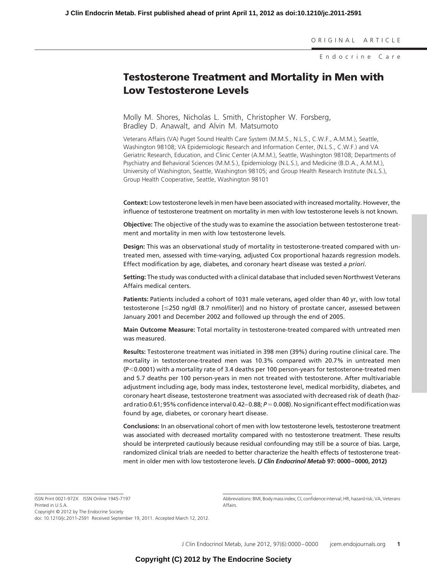ORIGINAL ARTICLE

Endocrine Care

# **Testosterone Treatment and Mortality in Men with Low Testosterone Levels**

Molly M. Shores, Nicholas L. Smith, Christopher W. Forsberg, Bradley D. Anawalt, and Alvin M. Matsumoto

Veterans Affairs (VA) Puget Sound Health Care System (M.M.S., N.L.S., C.W.F., A.M.M.), Seattle, Washington 98108; VA Epidemiologic Research and Information Center, (N.L.S., C.W.F.) and VA Geriatric Research, Education, and Clinic Center (A.M.M.), Seattle, Washington 98108; Departments of Psychiatry and Behavioral Sciences (M.M.S.), Epidemiology (N.L.S.), and Medicine (B.D.A., A.M.M.), University of Washington, Seattle, Washington 98105; and Group Health Research Institute (N.L.S.), Group Health Cooperative, Seattle, Washington 98101

**Context:** Low testosterone levels in men have been associated with increased mortality. However, the influence of testosterone treatment on mortality in men with low testosterone levels is not known.

**Objective:** The objective of the study was to examine the association between testosterone treatment and mortality in men with low testosterone levels.

**Design:** This was an observational study of mortality in testosterone-treated compared with untreated men, assessed with time-varying, adjusted Cox proportional hazards regression models. Effect modification by age, diabetes, and coronary heart disease was tested *a priori*.

**Setting:** The study was conducted with a clinical database that included seven Northwest Veterans Affairs medical centers.

**Patients:** Patients included a cohort of 1031 male veterans, aged older than 40 yr, with low total testosterone [250 ng/dl (8.7 nmol/liter)] and no history of prostate cancer, assessed between January 2001 and December 2002 and followed up through the end of 2005.

**Main Outcome Measure:** Total mortality in testosterone-treated compared with untreated men was measured.

**Results:** Testosterone treatment was initiated in 398 men (39%) during routine clinical care. The mortality in testosterone-treated men was 10.3% compared with 20.7% in untreated men (P<0.0001) with a mortality rate of 3.4 deaths per 100 person-years for testosterone-treated men and 5.7 deaths per 100 person-years in men not treated with testosterone. After multivariable adjustment including age, body mass index, testosterone level, medical morbidity, diabetes, and coronary heart disease, testosterone treatment was associated with decreased risk of death (hazard ratio 0.61; 95% confidence interval 0.42–0.88; *P* = 0.008). No significant effect modification was found by age, diabetes, or coronary heart disease.

**Conclusions:** In an observational cohort of men with low testosterone levels, testosterone treatment was associated with decreased mortality compared with no testosterone treatment. These results should be interpreted cautiously because residual confounding may still be a source of bias. Large, randomized clinical trials are needed to better characterize the health effects of testosterone treatment in older men with low testosterone levels. **(***J Clin Endocrinol Metab* **97: 0000 –0000, 2012)**

ISSN Print 0021-972X ISSN Online 1945-7197 Printed in U.S.A. Copyright © 2012 by The Endocrine Society doi: 10.1210/jc.2011-2591 Received September 19, 2011. Accepted March 12, 2012. Abbreviations: BMI, Body mass index; CI, confidence interval; HR, hazard risk; VA, Veterans Affairs.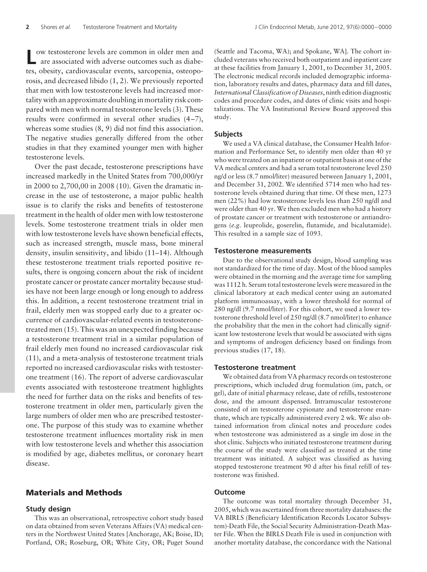**L**ow testosterone levels are common in older men and are associated with adverse outcomes such as diabetes, obesity, cardiovascular events, sarcopenia, osteoporosis, and decreased libido (1, 2). We previously reported that men with low testosterone levels had increased mortality with an approximate doubling in mortality risk compared with men with normal testosterone levels (3). These results were confirmed in several other studies (4 –7), whereas some studies (8, 9) did not find this association. The negative studies generally differed from the other studies in that they examined younger men with higher testosterone levels.

Over the past decade, testosterone prescriptions have increased markedly in the United States from 700,000/yr in 2000 to 2,700,00 in 2008 (10). Given the dramatic increase in the use of testosterone, a major public health issue is to clarify the risks and benefits of testosterone treatment in the health of older men with low testosterone levels. Some testosterone treatment trials in older men with low testosterone levels have shown beneficial effects, such as increased strength, muscle mass, bone mineral density, insulin sensitivity, and libido (11–14). Although these testosterone treatment trials reported positive results, there is ongoing concern about the risk of incident prostate cancer or prostate cancer mortality because studies have not been large enough or long enough to address this. In addition, a recent testosterone treatment trial in frail, elderly men was stopped early due to a greater occurrence of cardiovascular-related events in testosteronetreated men (15). This was an unexpected finding because a testosterone treatment trial in a similar population of frail elderly men found no increased cardiovascular risk (11), and a meta-analysis of testosterone treatment trials reported no increased cardiovascular risks with testosterone treatment (16). The report of adverse cardiovascular events associated with testosterone treatment highlights the need for further data on the risks and benefits of testosterone treatment in older men, particularly given the large numbers of older men who are prescribed testosterone. The purpose of this study was to examine whether testosterone treatment influences mortality risk in men with low testosterone levels and whether this association is modified by age, diabetes mellitus, or coronary heart disease.

# **Materials and Methods**

#### **Study design**

This was an observational, retrospective cohort study based on data obtained from seven Veterans Affairs (VA) medical centers in the Northwest United States [Anchorage, AK; Boise, ID; Portland, OR; Roseburg, OR; White City, OR; Puget Sound

(Seattle and Tacoma, WA); and Spokane, WA]. The cohort included veterans who received both outpatient and inpatient care at these facilities from January 1, 2001, to December 31, 2005. The electronic medical records included demographic information, laboratory results and dates, pharmacy data and fill dates, *International Classification of Diseases*, ninth edition diagnostic codes and procedure codes, and dates of clinic visits and hospitalizations. The VA Institutional Review Board approved this study.

#### **Subjects**

We used a VA clinical database, the Consumer Health Information and Performance Set, to identify men older than 40 yr who were treated on an inpatient or outpatient basis at one of the VA medical centers and had a serum total testosterone level 250 ng/d or less (8.7 nmol/liter) measured between January 1, 2001, and December 31, 2002. We identified 5714 men who had testosterone levels obtained during that time. Of these men, 1273 men (22%) had low testosterone levels less than 250 ng/dl and were older than 40 yr. We then excluded men who had a history of prostate cancer or treatment with testosterone or antiandrogens (*e.g.* leuprolide, goserelin, flutamide, and bicalutamide). This resulted in a sample size of 1093.

#### **Testosterone measurements**

Due to the observational study design, blood sampling was not standardized for the time of day. Most of the blood samples were obtained in the morning and the average time for sampling was 1112 h. Serum total testosterone levels were measured in the clinical laboratory at each medical center using an automated platform immunoassay, with a lower threshold for normal of 280 ng/dl (9.7 nmol/liter). For this cohort, we used a lower testosterone threshold level of 250 ng/dl (8.7 nmol/liter) to enhance the probability that the men in the cohort had clinically significant low testosterone levels that would be associated with signs and symptoms of androgen deficiency based on findings from previous studies (17, 18).

#### **Testosterone treatment**

We obtained data from VA pharmacy records on testosterone prescriptions, which included drug formulation (im, patch, or gel), date of initial pharmacy release, date of refills, testosterone dose, and the amount dispensed. Intramuscular testosterone consisted of im testosterone cypionate and testosterone enanthate, which are typically administered every 2 wk. We also obtained information from clinical notes and procedure codes when testosterone was administered as a single im dose in the shot clinic. Subjects who initiated testosterone treatment during the course of the study were classified as treated at the time treatment was initiated. A subject was classified as having stopped testosterone treatment 90 d after his final refill of testosterone was finished.

#### **Outcome**

The outcome was total mortality through December 31, 2005, which was ascertained from three mortality databases: the VA BIRLS (Beneficiary Identification Records Locator Subsystem)-Death File, the Social Security Administration-Death Master File. When the BIRLS Death File is used in conjunction with another mortality database, the concordance with the National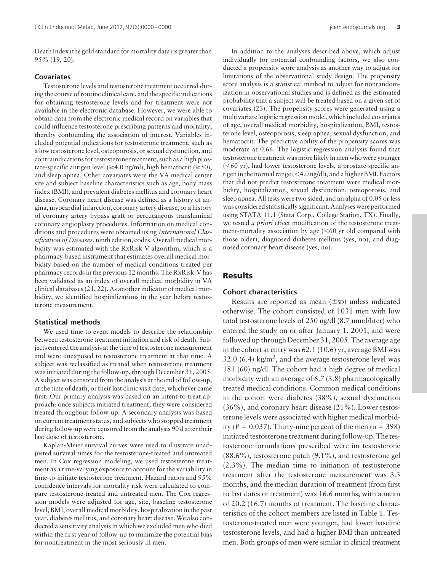Death Index (the gold standard for mortality data) is greater than 95% (19, 20).

# **Covariates**

Testosterone levels and testosterone treatment occurred during the course of routine clinical care, and the specific indications for obtaining testosterone levels and for treatment were not available in the electronic database. However, we were able to obtain data from the electronic medical record on variables that could influence testosterone prescribing patterns and mortality, thereby confounding the association of interest. Variables included potential indications for testosterone treatment, such as a low testosterone level, osteoporosis, or sexual dysfunction, and contraindications for testosterone treatment, such as a high prostate-specific antigen level (≥4.0 ng/ml), high hematocrit (≥50), and sleep apnea. Other covariates were the VA medical center site and subject baseline characteristics such as age, body mass index (BMI), and prevalent diabetes mellitus and coronary heart disease. Coronary heart disease was defined as a history of angina, myocardial infarction, coronary artery disease, or a history of coronary artery bypass graft or percutaneous transluminal coronary angioplasty procedures. Information on medical conditions and procedures were obtained using *International Classification of Diseases*, ninth edition, codes. Overall medical morbidity was estimated with the RxRisk-V algorithm, which is a pharmacy-based instrument that estimates overall medical morbidity based on the number of medical conditions treated per pharmacy records in the previous 12 months. The RxRisk-V has been validated as an index of overall medical morbidity in VA clinical databases (21, 22). As another indicator of medical morbidity, we identified hospitalizations in the year before testosterone measurement.

# **Statistical methods**

We used time-to-event models to describe the relationship between testosterone treatment initiation and risk of death. Subjects entered the analysis at the time of testosterone measurement and were unexposed to testosterone treatment at that time. A subject was reclassified as treated when testosterone treatment was initiated during the follow-up, through December 31, 2005. A subject was censored from the analysis at the end of follow-up, at the time of death, or their last clinic visit date, whichever came first. Our primary analysis was based on an intent-to-treat approach: once subjects initiated treatment, they were considered treated throughout follow-up. A secondary analysis was based on current treatment status, and subjects who stopped treatment during follow-up were censored from the analysis 90 d after their last dose of testosterone.

Kaplan-Meier survival curves were used to illustrate unadjusted survival times for the testosterone-treated and untreated men. In Cox regression modeling, we used testosterone treatment as a time-varying exposure to account for the variability in time-to-initiate testosterone treatment. Hazard ratios and 95% confidence intervals for mortality risk were calculated to compare testosterone-treated and untreated men. The Cox regression models were adjusted for age, site, baseline testosterone level, BMI, overall medical morbidity, hospitalization in the past year, diabetes mellitus, and coronary heart disease. We also conducted a sensitivity analysis in which we excluded men who died within the first year of follow-up to minimize the potential bias for nontreatment in the most seriously ill men.

In addition to the analyses described above, which adjust individually for potential confounding factors, we also conducted a propensity score analysis as another way to adjust for limitations of the observational study design. The propensity score analysis is a statistical method to adjust for nonrandomization in observational studies and is defined as the estimated probability that a subject will be treated based on a given set of covariates (23). The propensity scores were generated using a multivariate logistic regression model, which included covariates of age, overall medical morbidity, hospitalization, BMI, testosterone level, osteoporosis, sleep apnea, sexual dysfunction, and hematocrit. The predictive ability of the propensity scores was moderate at 0.66. The logistic regression analysis found that testosterone treatment was more likely in men who were younger (60 yr), had lower testosterone levels, a prostate-specific antigen in the normal range (<4.0 ng/dl), and a higher BMI. Factors that did not predict testosterone treatment were medical morbidity, hospitalization, sexual dysfunction, osteoporosis, and sleep apnea. All tests were two sided, and an alpha of 0.05 or less was considered statistically significant. Analyses were performed using STATA 11.1 (Stata Corp., College Station, TX). Finally, we tested *a priori* effect modification of the testosterone treatment-mortality association by age  $(< 60$  yr old compared with those older), diagnosed diabetes mellitus (yes, no), and diagnosed coronary heart disease (yes, no).

# **Results**

### **Cohort characteristics**

Results are reported as mean  $(\pm sD)$  unless indicated otherwise. The cohort consisted of 1031 men with low total testosterone levels of 250 ng/dl (8.7 nmol/liter) who entered the study on or after January 1, 2001, and were followed up through December 31, 2005. The average age in the cohort at entry was 62.1 (10.6) yr, average BMI was 32.0 (6.4) kg/m<sup>2</sup>, and the average testosterone level was 181 (60) ng/dl. The cohort had a high degree of medical morbidity with an average of 6.7 (3.8) pharmacologically treated medical conditions. Common medical conditions in the cohort were diabetes (38%), sexual dysfunction (36%), and coronary heart disease (21%). Lower testosterone levels were associated with higher medical morbidity ( $P = 0.037$ ). Thirty-nine percent of the men ( $n = 398$ ) initiated testosterone treatment during follow-up. The testosterone formulations prescribed were im testosterone (88.6%), testosterone patch (9.1%), and testosterone gel (2.3%). The median time to initiation of testosterone treatment after the testosterone measurement was 3.3 months, and the median duration of treatment (from first to last dates of treatment) was 16.6 months, with a mean of 20.2 (16.7) months of treatment. The baseline characteristics of the cohort members are listed in Table 1. Testosterone-treated men were younger, had lower baseline testosterone levels, and had a higher BMI than untreated men. Both groups of men were similar in clinical treatment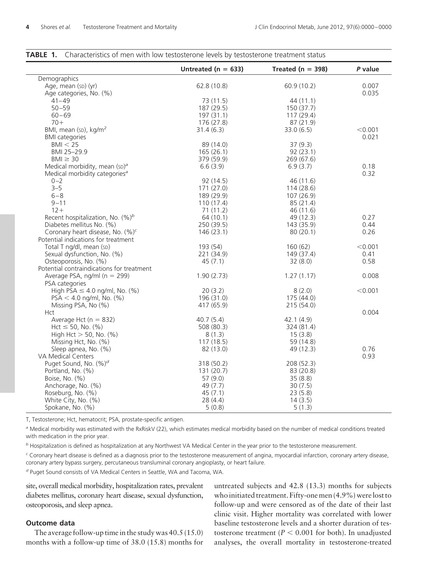|                                           | Untreated ( $n = 633$ ) | Treated ( $n = 398$ ) | P value |
|-------------------------------------------|-------------------------|-----------------------|---------|
| Demographics                              |                         |                       |         |
| Age, mean (sp) (yr)                       | 62.8(10.8)              | 60.9 (10.2)           | 0.007   |
| Age categories, No. (%)                   |                         |                       | 0.035   |
| $41 - 49$                                 | 73 (11.5)               | 44 (11.1)             |         |
| $50 - 59$                                 | 187 (29.5)              | 150 (37.7)            |         |
| $60 - 69$                                 | 197 (31.1)              | 117(29.4)             |         |
| $70+$                                     | 176 (27.8)              | 87 (21.9)             |         |
| BMI, mean (sp), kg/m <sup>2</sup>         | 31.4(6.3)               | 33.0(6.5)             | < 0.001 |
| <b>BMI</b> categories                     |                         |                       | 0.021   |
| BM < 25                                   | 89 (14.0)               | 37(9.3)               |         |
| BMI 25-29.9                               | 165(26.1)               | 92(23.1)              |         |
| $BMI \geq 30$                             | 379 (59.9)              | 269 (67.6)            |         |
| Medical morbidity, mean (SD) <sup>a</sup> | 6.6(3.9)                | 6.9(3.7)              | 0.18    |
| Medical morbidity categories <sup>a</sup> |                         |                       | 0.32    |
| $0 - 2$                                   | 92 (14.5)               | 46 (11.6)             |         |
| $3 - 5$                                   |                         |                       |         |
| $6 - 8$                                   | 171(27.0)               | 114(28.6)             |         |
|                                           | 189 (29.9)              | 107(26.9)             |         |
| $9 - 11$                                  | 110(17.4)               | 85 (21.4)             |         |
| $12+$                                     | 71(11.2)                | 46 (11.6)             |         |
| Recent hospitalization, No. $(\%)^b$      | 64(10.1)                | 49 (12.3)             | 0.27    |
| Diabetes mellitus No. (%)                 | 250 (39.5)              | 143 (35.9)            | 0.44    |
| Coronary heart disease, No. $(\%)^c$      | 146(23.1)               | 80(20.1)              | 0.26    |
| Potential indications for treatment       |                         |                       |         |
| Total T ng/dl, mean (SD)                  | 193 (54)                | 160(62)               | < 0.001 |
| Sexual dysfunction, No. (%)               | 221 (34.9)              | 149 (37.4)            | 0.41    |
| Osteoporosis, No. (%)                     | 45(7.1)                 | 32(8.0)               | 0.58    |
| Potential contraindications for treatment |                         |                       |         |
| Average PSA, ng/ml ( $n = 299$ )          | 1.90(2.73)              | 1.27(1.17)            | 0.008   |
| PSA categories                            |                         |                       |         |
| High $PSA \leq 4.0$ ng/ml, No. (%)        | 20(3.2)                 | 8(2.0)                | < 0.001 |
| $PSA < 4.0$ ng/ml, No. (%)                | 196 (31.0)              | 175 (44.0)            |         |
| Missing PSA, No (%)                       | 417 (65.9)              | 215 (54.0)            |         |
| <b>Hct</b>                                |                         |                       | 0.004   |
| Average Hct ( $n = 832$ )                 | 40.7(5.4)               | 42.1 (4.9)            |         |
| $Hct \le 50$ , No. (%)                    | 508 (80.3)              | 324 (81.4)            |         |
| High Hct $>$ 50, No. (%)                  | 8(1.3)                  | 15(3.8)               |         |
| Missing Hct, No. (%)                      | 117(18.5)               | 59 (14.8)             |         |
| Sleep apnea, No. (%)                      | 82 (13.0)               | 49 (12.3)             | 0.76    |
| VA Medical Centers                        |                         |                       | 0.93    |
| Puget Sound, No. (%) <sup>d</sup>         | 318 (50.2)              | 208 (52.3)            |         |
| Portland, No. (%)                         | 131(20.7)               | 83 (20.8)             |         |
| Boise, No. (%)                            | 57 (9.0)                | 35(8.8)               |         |
| Anchorage, No. (%)                        | 49 (7.7)                | 30(7.5)               |         |
| Roseburg, No. (%)                         | 45(7.1)                 | 23(5.8)               |         |
| White City, No. (%)                       | 28 (4.4)                | 14(3.5)               |         |
| Spokane, No. (%)                          | 5(0.8)                  | 5(1.3)                |         |
|                                           |                         |                       |         |

| <b>TABLE 1.</b> Characteristics of men with low testosterone levels by testosterone treatment status |
|------------------------------------------------------------------------------------------------------|
|------------------------------------------------------------------------------------------------------|

T, Testosterone; Hct, hematocrit; PSA, prostate-specific antigen.

*<sup>a</sup>* Medical morbidity was estimated with the RxRiskV (22), which estimates medical morbidity based on the number of medical conditions treated with medication in the prior year.

*<sup>b</sup>* Hospitalization is defined as hospitalization at any Northwest VA Medical Center in the year prior to the testosterone measurement.

*<sup>c</sup>* Coronary heart disease is defined as a diagnosis prior to the testosterone measurement of angina, myocardial infarction, coronary artery disease, coronary artery bypass surgery, percutaneous transluminal coronary angioplasty, or heart failure.

*<sup>d</sup>* Puget Sound consists of VA Medical Centers in Seattle, WA and Tacoma, WA.

site, overall medical morbidity, hospitalization rates, prevalent diabetes mellitus, coronary heart disease, sexual dysfunction, osteoporosis, and sleep apnea.

# **Outcome data**

The average follow-up time in the study was 40.5 (15.0) months with a follow-up time of 38.0 (15.8) months for

untreated subjects and 42.8 (13.3) months for subjects who initiated treatment. Fifty-one men (4.9%) were lost to follow-up and were censored as of the date of their last clinic visit. Higher mortality was correlated with lower baseline testosterone levels and a shorter duration of testosterone treatment ( $P < 0.001$  for both). In unadjusted analyses, the overall mortality in testosterone-treated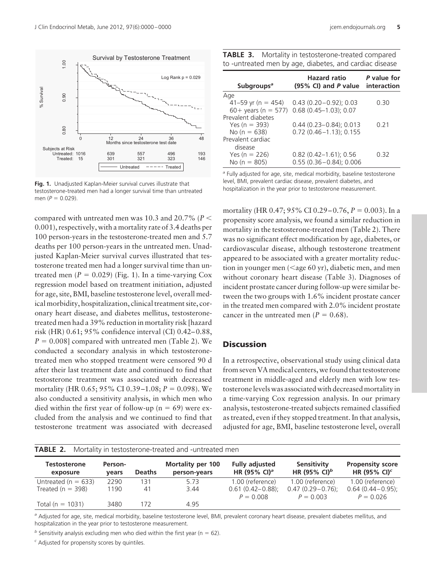

**Fig. 1.** Unadjusted Kaplan-Meier survival curves illustrate that testosterone-treated men had a longer survival time than untreated men ( $P = 0.029$ ).

compared with untreated men was 10.3 and 20.7% (*P* 0.001), respectively, with a mortality rate of 3.4 deaths per 100 person-years in the testosterone-treated men and 5.7 deaths per 100 person-years in the untreated men. Unadjusted Kaplan-Meier survival curves illustrated that testosterone treated men had a longer survival time than untreated men  $(P = 0.029)$  (Fig. 1). In a time-varying Cox regression model based on treatment initiation, adjusted for age, site, BMI, baseline testosterone level, overall medical morbidity, hospitalization, clinical treatment site, coronary heart disease, and diabetes mellitus, testosteronetreated men had a 39% reduction in mortality risk [hazard risk (HR) 0.61; 95% confidence interval (CI) 0.42– 0.88,  $P = 0.008$ ] compared with untreated men (Table 2). We conducted a secondary analysis in which testosteronetreated men who stopped treatment were censored 90 d after their last treatment date and continued to find that testosterone treatment was associated with decreased mortality (HR 0.65; 95% CI 0.39–1.08; *P* = 0.098). We also conducted a sensitivity analysis, in which men who died within the first year of follow-up ( $n = 69$ ) were excluded from the analysis and we continued to find that testosterone treatment was associated with decreased

|  | <b>TABLE 3.</b> Mortality in testosterone-treated compared |  |
|--|------------------------------------------------------------|--|
|  | to -untreated men by age, diabetes, and cardiac disease    |  |

| Subgroups <sup>a</sup>  | <b>Hazard</b> ratio<br>$(95\% \text{ Cl})$ and P value | P value for<br>interaction |
|-------------------------|--------------------------------------------------------|----------------------------|
| Age                     |                                                        |                            |
| 41–59 yr (n = 454)      | $0.43(0.20 - 0.92)$ ; 0.03                             | O 30                       |
| 60+ years ( $n = 577$ ) | $0.68(0.45 - 1.03); 0.07$                              |                            |
| Prevalent diabetes      |                                                        |                            |
| Yes $(n = 393)$         | $0.44(0.23 - 0.84)$ ; 0.013                            | O 21                       |
| No $(n = 638)$          | $0.72(0.46 - 1.13)$ ; 0.155                            |                            |
| Prevalent cardiac       |                                                        |                            |
| disease                 |                                                        |                            |
| Yes ( $n = 226$ )       | $0.82(0.42 - 1.61)$ ; 0.56                             | 0 32                       |
| No $(n = 805)$          | $0.55(0.36 - 0.84); 0.006$                             |                            |

*<sup>a</sup>* Fully adjusted for age, site, medical morbidity, baseline testosterone level, BMI, prevalent cardiac disease, prevalent diabetes, and hospitalization in the year prior to testosterone measurement.

mortality (HR 0.47; 95% CI 0.29–0.76, *P* = 0.003). In a propensity score analysis, we found a similar reduction in mortality in the testosterone-treated men (Table 2). There was no significant effect modification by age, diabetes, or cardiovascular disease, although testosterone treatment appeared to be associated with a greater mortality reduction in younger men  $(<$ age 60 yr), diabetic men, and men without coronary heart disease (Table 3). Diagnoses of incident prostate cancer during follow-up were similar between the two groups with 1.6% incident prostate cancer in the treated men compared with 2.0% incident prostate cancer in the untreated men  $(P = 0.68)$ .

# **Discussion**

In a retrospective, observational study using clinical data from seven VA medical centers, we found that testosterone treatment in middle-aged and elderly men with low testosterone levels was associated with decreased mortality in a time-varying Cox regression analysis. In our primary analysis, testosterone-treated subjects remained classified as treated, even if they stopped treatment. In that analysis, adjusted for age, BMI, baseline testosterone level, overall

| TABLE 2.<br>Mortality in testosterone-treated and -untreated men |                  |               |                                          |                                                          |                                                          |                                                          |
|------------------------------------------------------------------|------------------|---------------|------------------------------------------|----------------------------------------------------------|----------------------------------------------------------|----------------------------------------------------------|
| Testosterone<br>exposure                                         | Person-<br>vears | <b>Deaths</b> | <b>Mortality per 100</b><br>person-years | <b>Fully adjusted</b><br>HR (95% CI) <sup>a</sup>        | Sensitivity<br>HR (95% CI) <sup>b</sup>                  | <b>Propensity score</b><br>HR (95% CI) $\text{C}$        |
| Untreated ( $n = 633$ )<br>Treated ( $n = 398$ )                 | 2290<br>1190     | 131<br>41     | 573<br>3.44                              | 1.00 (reference)<br>$0.61(0.42 - 0.88)$ ;<br>$P = 0.008$ | 1.00 (reference)<br>$0.47(0.29 - 0.76)$ ;<br>$P = 0.003$ | 1.00 (reference)<br>$0.64(0.44 - 0.95)$ ;<br>$P = 0.026$ |
| Total ( $n = 1031$ )                                             | 3480             | 172           | 4.95                                     |                                                          |                                                          |                                                          |

*<sup>a</sup>* Adjusted for age, site, medical morbidity, baseline testosterone level, BMI, prevalent coronary heart disease, prevalent diabetes mellitus, and hospitalization in the year prior to testosterone measurement.

 $<sup>b</sup>$  Sensitivity analysis excluding men who died within the first year (n = 62).</sup>

*<sup>c</sup>* Adjusted for propensity scores by quintiles.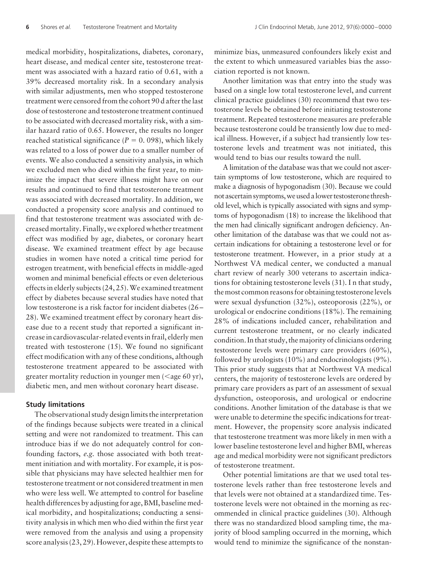medical morbidity, hospitalizations, diabetes, coronary, heart disease, and medical center site, testosterone treatment was associated with a hazard ratio of 0.61, with a 39% decreased mortality risk. In a secondary analysis with similar adjustments, men who stopped testosterone treatment were censored from the cohort 90 d after the last dose of testosterone and testosterone treatment continued to be associated with decreased mortality risk, with a similar hazard ratio of 0.65. However, the results no longer reached statistical significance ( $P = 0$ . 098), which likely was related to a loss of power due to a smaller number of events. We also conducted a sensitivity analysis, in which we excluded men who died within the first year, to minimize the impact that severe illness might have on our results and continued to find that testosterone treatment was associated with decreased mortality. In addition, we conducted a propensity score analysis and continued to find that testosterone treatment was associated with decreased mortality. Finally, we explored whether treatment effect was modified by age, diabetes, or coronary heart disease. We examined treatment effect by age because studies in women have noted a critical time period for estrogen treatment, with beneficial effects in middle-aged women and minimal beneficial effects or even deleterious effects in elderly subjects (24, 25).We examined treatment effect by diabetes because several studies have noted that low testosterone is a risk factor for incident diabetes (26 – 28). We examined treatment effect by coronary heart disease due to a recent study that reported a significant increase in cardiovascular-related events in frail, elderly men treated with testosterone (15). We found no significant effect modification with any of these conditions, although testosterone treatment appeared to be associated with greater mortality reduction in younger men  $(<$ age 60 yr), diabetic men, and men without coronary heart disease.

#### **Study limitations**

The observational study design limits the interpretation of the findings because subjects were treated in a clinical setting and were not randomized to treatment. This can introduce bias if we do not adequately control for confounding factors, *e.g.* those associated with both treatment initiation and with mortality. For example, it is possible that physicians may have selected healthier men for testosterone treatment or not considered treatment in men who were less well. We attempted to control for baseline health differences by adjusting for age, BMI, baseline medical morbidity, and hospitalizations; conducting a sensitivity analysis in which men who died within the first year were removed from the analysis and using a propensity score analysis (23, 29). However, despite these attempts to

minimize bias, unmeasured confounders likely exist and the extent to which unmeasured variables bias the association reported is not known.

Another limitation was that entry into the study was based on a single low total testosterone level, and current clinical practice guidelines (30) recommend that two testosterone levels be obtained before initiating testosterone treatment. Repeated testosterone measures are preferable because testosterone could be transiently low due to medical illness. However, if a subject had transiently low testosterone levels and treatment was not initiated, this would tend to bias our results toward the null.

A limitation of the database was that we could not ascertain symptoms of low testosterone, which are required to make a diagnosis of hypogonadism (30). Because we could not ascertain symptoms, we used a lower testosterone threshold level, which is typically associated with signs and symptoms of hypogonadism (18) to increase the likelihood that the men had clinically significant androgen deficiency. Another limitation of the database was that we could not ascertain indications for obtaining a testosterone level or for testosterone treatment. However, in a prior study at a Northwest VA medical center, we conducted a manual chart review of nearly 300 veterans to ascertain indications for obtaining testosterone levels (31). I n that study, the most common reasons for obtaining testosterone levels were sexual dysfunction (32%), osteoporosis (22%), or urological or endocrine conditions (18%). The remaining 28% of indications included cancer, rehabilitation and current testosterone treatment, or no clearly indicated condition. In that study, the majority of clinicians ordering testosterone levels were primary care providers (60%), followed by urologists (10%) and endocrinologists (9%). This prior study suggests that at Northwest VA medical centers, the majority of testosterone levels are ordered by primary care providers as part of an assessment of sexual dysfunction, osteoporosis, and urological or endocrine conditions. Another limitation of the database is that we were unable to determine the specific indications for treatment. However, the propensity score analysis indicated that testosterone treatment was more likely in men with a lower baseline testosterone level and higher BMI, whereas age and medical morbidity were not significant predictors of testosterone treatment.

Other potential limitations are that we used total testosterone levels rather than free testosterone levels and that levels were not obtained at a standardized time. Testosterone levels were not obtained in the morning as recommended in clinical practice guidelines (30). Although there was no standardized blood sampling time, the majority of blood sampling occurred in the morning, which would tend to minimize the significance of the nonstan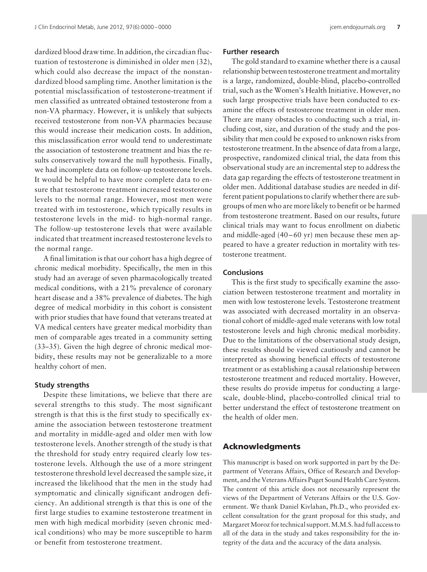dardized blood draw time. In addition, the circadian fluctuation of testosterone is diminished in older men (32), which could also decrease the impact of the nonstandardized blood sampling time. Another limitation is the potential misclassification of testosterone-treatment if men classified as untreated obtained testosterone from a non-VA pharmacy. However, it is unlikely that subjects received testosterone from non-VA pharmacies because this would increase their medication costs. In addition, this misclassification error would tend to underestimate the association of testosterone treatment and bias the results conservatively toward the null hypothesis. Finally, we had incomplete data on follow-up testosterone levels. It would be helpful to have more complete data to ensure that testosterone treatment increased testosterone levels to the normal range. However, most men were treated with im testosterone, which typically results in testosterone levels in the mid- to high-normal range. The follow-up testosterone levels that were available indicated that treatment increased testosterone levels to the normal range.

A final limitation is that our cohort has a high degree of chronic medical morbidity. Specifically, the men in this study had an average of seven pharmacologically treated medical conditions, with a 21% prevalence of coronary heart disease and a 38% prevalence of diabetes. The high degree of medical morbidity in this cohort is consistent with prior studies that have found that veterans treated at VA medical centers have greater medical morbidity than men of comparable ages treated in a community setting (33–35). Given the high degree of chronic medical morbidity, these results may not be generalizable to a more healthy cohort of men.

#### **Study strengths**

Despite these limitations, we believe that there are several strengths to this study. The most significant strength is that this is the first study to specifically examine the association between testosterone treatment and mortality in middle-aged and older men with low testosterone levels. Another strength of the study is that the threshold for study entry required clearly low testosterone levels. Although the use of a more stringent testosterone threshold level decreased the sample size, it increased the likelihood that the men in the study had symptomatic and clinically significant androgen deficiency. An additional strength is that this is one of the first large studies to examine testosterone treatment in men with high medical morbidity (seven chronic medical conditions) who may be more susceptible to harm or benefit from testosterone treatment.

## **Further research**

The gold standard to examine whether there is a causal relationship between testosterone treatment and mortality is a large, randomized, double-blind, placebo-controlled trial, such as the Women's Health Initiative. However, no such large prospective trials have been conducted to examine the effects of testosterone treatment in older men. There are many obstacles to conducting such a trial, including cost, size, and duration of the study and the possibility that men could be exposed to unknown risks from testosterone treatment. In the absence of data from a large, prospective, randomized clinical trial, the data from this observational study are an incremental step to address the data gap regarding the effects of testosterone treatment in older men. Additional database studies are needed in different patient populations to clarify whether there are subgroups of men who are more likely to benefit or be harmed from testosterone treatment. Based on our results, future clinical trials may want to focus enrollment on diabetic and middle-aged  $(40 - 60 \text{ yr})$  men because these men appeared to have a greater reduction in mortality with testosterone treatment.

## **Conclusions**

This is the first study to specifically examine the association between testosterone treatment and mortality in men with low testosterone levels. Testosterone treatment was associated with decreased mortality in an observational cohort of middle-aged male veterans with low total testosterone levels and high chronic medical morbidity. Due to the limitations of the observational study design, these results should be viewed cautiously and cannot be interpreted as showing beneficial effects of testosterone treatment or as establishing a causal relationship between testosterone treatment and reduced mortality. However, these results do provide impetus for conducting a largescale, double-blind, placebo-controlled clinical trial to better understand the effect of testosterone treatment on the health of older men.

# **Acknowledgments**

This manuscript is based on work supported in part by the Department of Veterans Affairs, Office of Research and Development, and the Veterans Affairs Puget Sound Health Care System. The content of this article does not necessarily represent the views of the Department of Veterans Affairs or the U.S. Government. We thank Daniel Kivlahan, Ph.D., who provided excellent consultation for the grant proposal for this study, and Margaret Moroz for technical support. M.M.S. had full access to all of the data in the study and takes responsibility for the integrity of the data and the accuracy of the data analysis.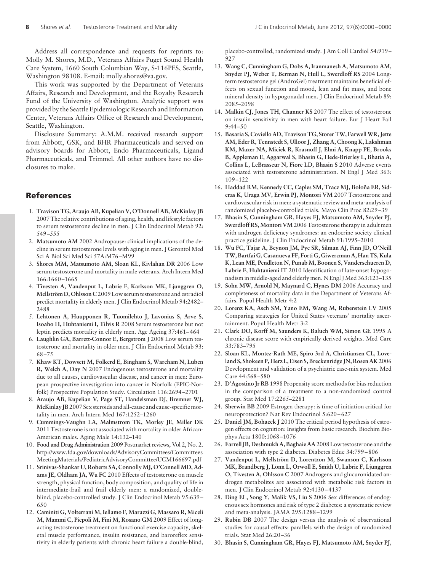Address all correspondence and requests for reprints to: Molly M. Shores, M.D., Veterans Affairs Puget Sound Health 927

Care System, 1660 South Columbian Way, S-116PES, Seattle, Washington 98108. E-mail: molly.shores@va.gov.

This work was supported by the Department of Veterans Affairs, Research and Development, and the Royalty Research Fund of the University of Washington. Analytic support was provided by the Seattle Epidemiologic Research and Information Center, Veterans Affairs Office of Research and Development, Seattle, Washington.

Disclosure Summary: A.M.M. received research support from Abbott, GSK, and BHR Pharmaceuticals and served on advisory boards for Abbott, Endo Pharmaceuticals, Ligand Pharmaceuticals, and Trimmel. All other authors have no disclosures to make.

# **References**

- 1. **Travison TG, Araujo AB, Kupelian V, O'Donnell AB, McKinlay JB** 2007 The relative contributions of aging, health, and lifestyle factors to serum testosterone decline in men. J Clin Endocrinol Metab 92: 549 –555
- 2. **Matsumoto AM** 2002 Andropause: clinical implications of the decline in serum testosterone levels with aging in men. J Gerontol Med Sci A Biol Sci Med Sci 57A:M76 –M99
- 3. **Shores MM, Matsumoto AM, Sloan KL, Kivlahan DR** 2006 Low serum testosterone and mortality in male veterans. Arch Intern Med 166:1660 –1665
- 4. **Tivesten A, Vandenput L, Labrie F, Karlsson MK, Ljunggren O,** Mellström D, Ohlsson C 2009 Low serum testosterone and estradiol predict mortality in elderly men. J Clin Endocrinol Metab 94:2482– 2488
- 5. **Lehtonen A, Huupponen R, Tuomilehto J, Lavonius S, Arve S, Isoaho H, Huhtaniemi I, Tilvis R** 2008 Serum testosterone but not leptin predicts mortality in elderly men. Age Ageing 37:461– 464
- 6. **Laughlin GA, Barrett-Connor E, Bergstrom J** 2008 Low serum testosterone and mortality in older men. J Clin Endocrinol Metab 93: 68 –75
- 7. **Khaw KT, Dowsett M, Folkerd E, Bingham S, Wareham N, Luben R, Welch A, Day N** 2007 Endogenous testosterone and mortality due to all causes, cardiovascular disease, and cancer in men: European prospective investigation into cancer in Norfolk (EPIC-Norfolk) Prospective Population Study. Circulation 116:2694 –2701
- 8. **Araujo AB, Kupelian V, Page ST, Handelsman DJ, Bremner WJ, McKinlay JB**2007 Sex steroids and all-cause and cause-specific mortality in men. Arch Intern Med 167:1252–1260
- 9. **Cummings-Vaughn LA, Malmstrom TK, Morley JE, Miller DK** 2011 Testosterone is not associated with mortality in older African-American males. Aging Male 14:132–140
- 10. **Food and Drug Administration** 2009 Postmarket reviews, Vol 2, No. 2. [http://www.fda.gov/downloads/AdvisoryCommittees/Committees](http://www.fda.gov/downloads/AdvisoryCommittees/CommitteesMeetingMaterials/PediatricAdvisoryCommittee/UCM166697.pdf) [MeetingMaterials/PediatricAdvisoryCommittee/UCM166697.pdf](http://www.fda.gov/downloads/AdvisoryCommittees/CommitteesMeetingMaterials/PediatricAdvisoryCommittee/UCM166697.pdf)
- 11. **Srinivas-Shankar U, Roberts SA, Connolly MJ, O'Connell MD, Adams JE, Oldham JA, Wu FC** 2010 Effects of testosterone on muscle strength, physical function, body composition, and quality of life in intermediate-frail and frail elderly men: a randomized, doubleblind, placebo-controlled study. J Clin Endocrinol Metab 95:639 – 650
- 12. **Caminiti G, Volterrani M, Iellamo F, Marazzi G, Massaro R, Miceli M, Mammi C, Piepoli M, Fini M, Rosano GM** 2009 Effect of longacting testosterone treatment on functional exercise capacity, skeletal muscle performance, insulin resistance, and baroreflex sensitivity in elderly patients with chronic heart failure a double-blind,

placebo-controlled, randomized study. J Am Coll Cardiol 54:919 –

- 13. **Wang C, Cunningham G, Dobs A, Iranmanesh A, Matsumoto AM, Snyder PJ, Weber T, Berman N, Hull L, Swerdloff RS** 2004 Longterm testosterone gel (AndroGel) treatment maintains beneficial effects on sexual function and mood, lean and fat mass, and bone mineral density in hypogonadal men. J Clin Endocrinol Metab 89: 2085–2098
- 14. **Malkin CJ, Jones TH, Channer KS** 2007 The effect of testosterone on insulin sensitivity in men with heart failure. Eur J Heart Fail  $9:44 - 50$
- 15. **Basaria S, Coviello AD, Travison TG, Storer TW, FarwellWR, Jette AM, Eder R, Tennstedt S, Ulloor J, Zhang A, Choong K, Lakshman KM, Mazer NA, Miciek R, Krasnoff J, Elmi A, Knapp PE, Brooks B, Appleman E, Aggarwal S, Bhasin G, Hede-Brierley L, Bhatia A, Collins L, LeBrasseur N, Fiore LD, Bhasin S** 2010 Adverse events associated with testosterone administration. N Engl J Med 363:  $109 - 122$
- 16. Haddad RM, Kennedy CC, Caples SM, Tracz MJ, Boloña ER, Sid**eras K, Uraga MV, Erwin PJ, Montori VM** 2007 Testosterone and cardiovascular risk in men: a systematic review and meta-analysis of randomized placebo-controlled trials. Mayo Clin Proc 82:29 –39
- 17. **Bhasin S, Cunningham GR, Hayes FJ, Matsumoto AM, Snyder PJ, Swerdloff RS, Montori VM** 2006 Testosterone therapy in adult men with androgen deficiency syndromes: an endocrine society clinical practice guideline. J Clin Endocrinol Metab 91:1995–2010
- 18. **Wu FC, Tajar A, Beynon JM, Pye SR, Silman AJ, Finn JD, O'Neill TW, Bartfai G, Casanueva FF, Forti G, Giwercman A, Han TS, Kula K, Lean ME, Pendleton N, Punab M, Boonen S, Vanderschueren D, Labrie F, Huhtaniemi IT** 2010 Identification of late-onset hypogonadism in middle-aged and elderly men. N Engl J Med 363:123–135
- 19. **Sohn MW, Arnold N, Maynard C, Hynes DM** 2006 Accuracy and completeness of mortality data in the Department of Veterans Affairs. Popul Health Metr 4:2
- 20. **Lorenz KA, Asch SM, Yano EM, Wang M, Rubenstein LV** 2005 Comparing strategies for United States veterans' mortality ascertainment. Popul Health Metr 3:2
- 21. **Clark DO, Korff M, Saunders K, Baluch WM, Simon GE** 1995 A chronic disease score with empirically derived weights. Med Care 33:783–795
- 22. **Sloan KL, Montez-Rath ME, Spiro 3rd A, Christiansen CL, Loveland S, Shokeen P, Herz L, Eisen S, Breckenridge JN, Rosen AK** 2006 Development and validation of a psychiatric case-mix system. Med Care 44:568 –580
- 23. **D'Agostino Jr RB** 1998 Propensity score methods for bias reduction in the comparison of a treatment to a non-randomized control group. Stat Med 17:2265–2281
- 24. **Sherwin BB** 2009 Estrogen therapy: is time of initiation critical for neuroprotection? Nat Rev Endocrinol 5:620 – 627
- 25. **Daniel JM, Bohacek J** 2010 The critical period hypothesis of estrogen effects on cognition: Insights from basic research. Biochim Biophys Acta 1800:1068 –1076
- 26. **Farrell JB, Deshmukh A, Baghaie AA** 2008 Low testosterone and the association with type 2 diabetes. Diabetes Educ 34:799 – 806
- 27. Vandenput L, Mellström D, Lorentzon M, Swanson C, Karlsson MK, Brandberg J, Lönn L, Orwoll E, Smith U, Labrie F, Ljunggren **O, Tivesten A, Ohlsson C** 2007 Androgens and glucuronidated androgen metabolites are associated with metabolic risk factors in men. J Clin Endocrinol Metab 92:4130 – 4137
- 28. **Ding EL, Song Y, Malik VS, Liu S** 2006 Sex differences of endogenous sex hormones and risk of type 2 diabetes: a systematic review and meta-analysis. JAMA 295:1288 –1299
- 29. **Rubin DB** 2007 The design versus the analysis of observational studies for causal effects: parallels with the design of randomized trials. Stat Med 26:20 –36
- 30. **Bhasin S, Cunningham GR, Hayes FJ, Matsumoto AM, Snyder PJ,**